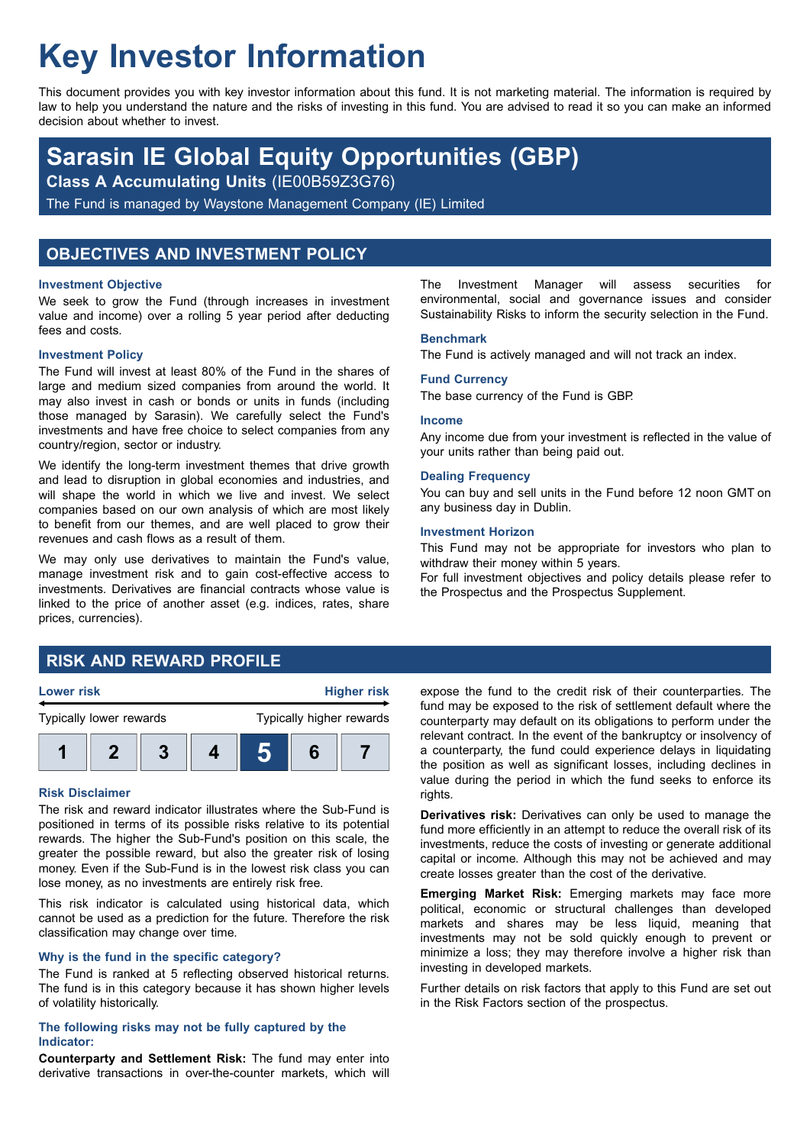# **Key Investor Information**

This document provides you with key investor information about this fund. It is not marketing material. The information is required by law to help you understand the nature and the risks of investing in this fund. You are advised to read it so you can make an informed decision about whether to invest.

## **Sarasin IE Global Equity Opportunities (GBP)**

**Class A Accumulating Units** (IE00B59Z3G76)

The Fund is managed by Waystone Management Company (IE) Limited

## **OBJECTIVES AND INVESTMENT POLICY**

#### **Investment Objective**

We seek to grow the Fund (through increases in investment value and income) over a rolling 5 year period after deducting fees and costs.

#### **Investment Policy**

The Fund will invest at least 80% of the Fund in the shares of large and medium sized companies from around the world. It may also invest in cash or bonds or units in funds (including those managed by Sarasin). We carefully select the Fund's investments and have free choice to select companies from any country/region, sector or industry.

We identify the long-term investment themes that drive growth and lead to disruption in global economies and industries, and will shape the world in which we live and invest. We select companies based on our own analysis of which are most likely to benefit from our themes, and are well placed to grow their revenues and cash flows as a result of them.

We may only use derivatives to maintain the Fund's value, manage investment risk and to gain cost-effective access to investments. Derivatives are financial contracts whose value is linked to the price of another asset (e.g. indices, rates, share prices, currencies).

#### The Investment Manager will assess securities for environmental, social and governance issues and consider Sustainability Risks to inform the security selection in the Fund.

#### **Benchmark**

The Fund is actively managed and will not track an index.

## **Fund Currency**

The base currency of the Fund is GBP.

#### **Income**

Any income due from your investment is reflected in the value of your units rather than being paid out.

#### **Dealing Frequency**

You can buy and sell units in the Fund before 12 noon GMT on any business day in Dublin.

#### **Investment Horizon**

This Fund may not be appropriate for investors who plan to withdraw their money within 5 years.

For full investment objectives and policy details please refer to the Prospectus and the Prospectus Supplement.

## **RISK AND REWARD PROFILE**



#### **Risk Disclaimer**

The risk and reward indicator illustrates where the Sub-Fund is positioned in terms of its possible risks relative to its potential rewards. The higher the Sub-Fund's position on this scale, the greater the possible reward, but also the greater risk of losing money. Even if the Sub-Fund is in the lowest risk class you can lose money, as no investments are entirely risk free.

This risk indicator is calculated using historical data, which cannot be used as a prediction for the future. Therefore the risk classification may change over time.

#### **Why is the fund in the specific category?**

The Fund is ranked at 5 reflecting observed historical returns. The fund is in this category because it has shown higher levels of volatility historically.

#### **The following risks may not be fully captured by the Indicator:**

**Counterparty and Settlement Risk:** The fund may enter into derivative transactions in over-the-counter markets, which will expose the fund to the credit risk of their counterparties. The fund may be exposed to the risk of settlement default where the counterparty may default on its obligations to perform under the relevant contract. In the event of the bankruptcy or insolvency of a counterparty, the fund could experience delays in liquidating the position as well as significant losses, including declines in value during the period in which the fund seeks to enforce its rights.

**Derivatives risk:** Derivatives can only be used to manage the fund more efficiently in an attempt to reduce the overall risk of its investments, reduce the costs of investing or generate additional capital or income. Although this may not be achieved and may create losses greater than the cost of the derivative.

**Emerging Market Risk:** Emerging markets may face more political, economic or structural challenges than developed markets and shares may be less liquid, meaning that investments may not be sold quickly enough to prevent or minimize a loss; they may therefore involve a higher risk than investing in developed markets.

Further details on risk factors that apply to this Fund are set out in the Risk Factors section of the prospectus.